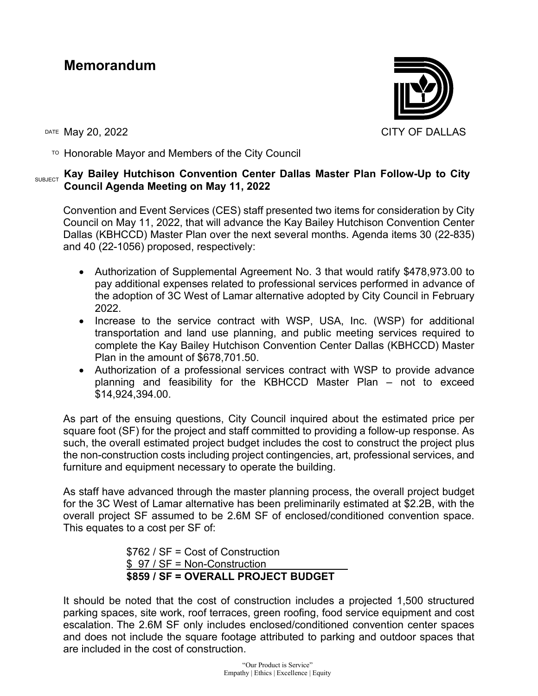## **Memorandum**



 $\overline{P}$  Honorable Mayor and Members of the City Council

## SUBJECT **Kay Bailey Hutchison Convention Center Dallas Master Plan Follow-Up to City Council Agenda Meeting on May 11, 2022**

Convention and Event Services (CES) staff presented two items for consideration by City Council on May 11, 2022, that will advance the Kay Bailey Hutchison Convention Center Dallas (KBHCCD) Master Plan over the next several months. Agenda items 30 (22-835) and 40 (22-1056) proposed, respectively:

- Authorization of Supplemental Agreement No. 3 that would ratify \$478,973.00 to pay additional expenses related to professional services performed in advance of the adoption of 3C West of Lamar alternative adopted by City Council in February 2022.
- Increase to the service contract with WSP, USA, Inc. (WSP) for additional transportation and land use planning, and public meeting services required to complete the Kay Bailey Hutchison Convention Center Dallas (KBHCCD) Master Plan in the amount of \$678,701.50.
- Authorization of a professional services contract with WSP to provide advance planning and feasibility for the KBHCCD Master Plan – not to exceed \$14,924,394.00.

As part of the ensuing questions, City Council inquired about the estimated price per square foot (SF) for the project and staff committed to providing a follow-up response. As such, the overall estimated project budget includes the cost to construct the project plus the non-construction costs including project contingencies, art, professional services, and furniture and equipment necessary to operate the building.

As staff have advanced through the master planning process, the overall project budget for the 3C West of Lamar alternative has been preliminarily estimated at \$2.2B, with the overall project SF assumed to be 2.6M SF of enclosed/conditioned convention space. This equates to a cost per SF of:

> \$762 / SF = Cost of Construction \$ 97 / SF = Non-Construction **\$859 / SF = OVERALL PROJECT BUDGET**

It should be noted that the cost of construction includes a projected 1,500 structured parking spaces, site work, roof terraces, green roofing, food service equipment and cost escalation. The 2.6M SF only includes enclosed/conditioned convention center spaces and does not include the square footage attributed to parking and outdoor spaces that are included in the cost of construction.